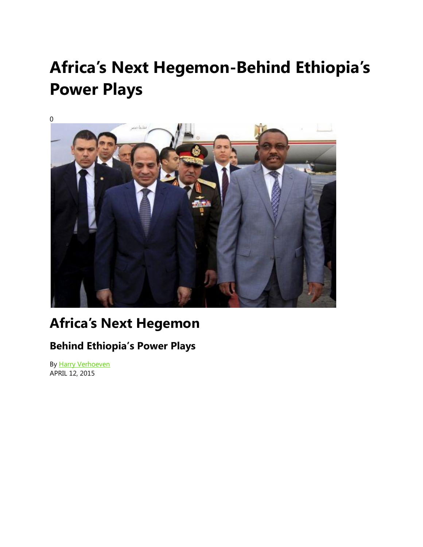## **Africa's Next Hegemon-Behind Ethiopia's Power Plays**



## **Africa's Next Hegemon**

## **Behind Ethiopia's Power Plays**

By [Harry Verhoeven](http://www.foreignaffairs.com/author/harry-verhoeven) APRIL 12, 2015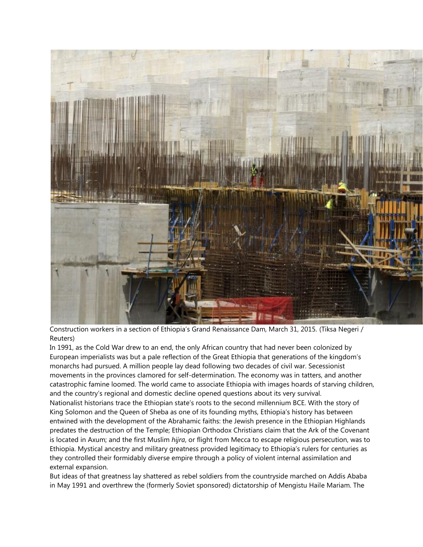

Construction workers in a section of Ethiopia's Grand Renaissance Dam, March 31, 2015. (Tiksa Negeri / Reuters)

In 1991, as the Cold War drew to an end, the only African country that had never been colonized by European imperialists was but a pale reflection of the Great Ethiopia that generations of the kingdom's monarchs had pursued. A million people lay dead following two decades of civil war. Secessionist movements in the provinces clamored for self-determination. The economy was in tatters, and another catastrophic famine loomed. The world came to associate Ethiopia with images hoards of starving children, and the country's regional and domestic decline opened questions about its very survival. Nationalist historians trace the Ethiopian state's roots to the second millennium BCE. With the story of King Solomon and the Queen of Sheba as one of its founding myths, Ethiopia's history has between entwined with the development of the Abrahamic faiths: the Jewish presence in the Ethiopian Highlands predates the destruction of the Temple; Ethiopian Orthodox Christians claim that the Ark of the Covenant is located in Axum; and the first Muslim *hijra*, or flight from Mecca to escape religious persecution, was to Ethiopia. Mystical ancestry and military greatness provided legitimacy to Ethiopia's rulers for centuries as they controlled their formidably diverse empire through a policy of violent internal assimilation and external expansion.

But ideas of that greatness lay shattered as rebel soldiers from the countryside marched on Addis Ababa in May 1991 and overthrew the (formerly Soviet sponsored) dictatorship of Mengistu Haile Mariam. The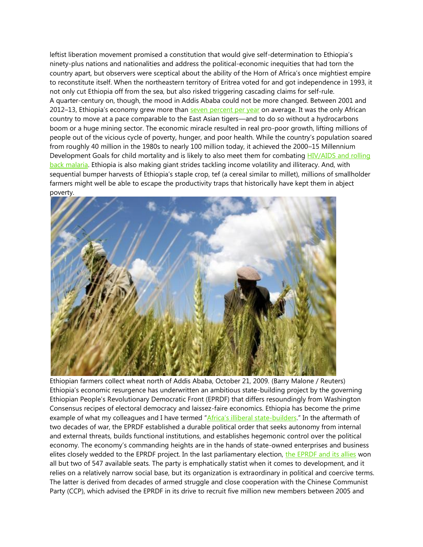leftist liberation movement promised a constitution that would give self-determination to Ethiopia's ninety-plus nations and nationalities and address the political-economic inequities that had torn the country apart, but observers were sceptical about the ability of the Horn of Africa's once mightiest empire to reconstitute itself. When the northeastern territory of Eritrea voted for and got independence in 1993, it not only cut Ethiopia off from the sea, but also risked triggering cascading claims for self-rule. A quarter-century on, though, the mood in Addis Ababa could not be more changed. Between 2001 and 2012–13, Ethiopia's economy grew more than [seven percent per year](http://www.imf.org/external/pubs/ft/scr/2013/cr13308.pdf) on average. It was the only African country to move at a pace comparable to the East Asian tigers—and to do so without a hydrocarbons boom or a huge mining sector. The economic miracle resulted in real pro-poor growth, lifting millions of people out of the vicious cycle of poverty, hunger, and poor health. While the country's population soared from roughly 40 million in the 1980s to nearly 100 million today, it achieved the 2000–15 Millennium Development Goals for child mortality and is likely to also meet them for combating HIV/AIDS and rolling [back malaria.](http://www.worldbank.org/en/country/ethiopia/overview) Ethiopia is also making giant strides tackling income volatility and illiteracy. And, with sequential bumper harvests of Ethiopia's staple crop, tef (a cereal similar to millet), millions of smallholder farmers might well be able to escape the productivity traps that historically have kept them in abject poverty.



Ethiopian farmers collect wheat north of Addis Ababa, October 21, 2009. (Barry Malone / Reuters) Ethiopia's economic resurgence has underwritten an ambitious state-building project by the governing Ethiopian People's Revolutionary Democratic Front (EPRDF) that differs resoundingly from Washington Consensus recipes of electoral democracy and laissez-faire economics. Ethiopia has become the prime example of what my colleagues and I have termed ["Africa's illiberal stat](http://www.rsc.ox.ac.uk/files/publications/working-paper-series/wp89-africas-illiberal-state-builders-2013.pdf)e-builders." In the aftermath of two decades of war, the EPRDF established a durable political order that seeks autonomy from internal and external threats, builds functional institutions, and establishes hegemonic control over the political economy. The economy's commanding heights are in the hands of state-owned enterprises and business elites closely wedded to the EPRDF project. In the last parliamentary election, [the EPRDF and its allies](http://www.rsc.ox.ac.uk/files/publications/working-paper-series/wp89-africas-illiberal-state-builders-2013.pdf) won all but two of 547 available seats. The party is emphatically statist when it comes to development, and it relies on a relatively narrow social base, but its organization is extraordinary in political and coercive terms. The latter is derived from decades of armed struggle and close cooperation with the Chinese Communist Party (CCP), which advised the EPRDF in its drive to recruit five million new members between 2005 and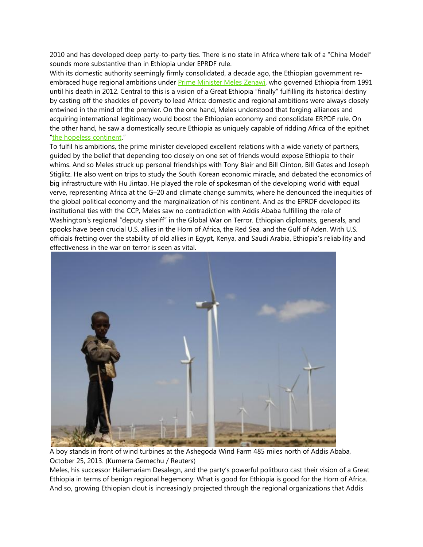2010 and has developed deep party-to-party ties. There is no state in Africa where talk of a "China Model" sounds more substantive than in Ethiopia under EPRDF rule.

With its domestic authority seemingly firmly consolidated, a decade ago, the Ethiopian government re-embraced huge regional ambitions under [Prime Minister Meles Zenawi,](http://www.aljazeera.com/indepth/opinion/2012/08/2012821115259626668.html) who governed Ethiopia from 1991 until his death in 2012. Central to this is a vision of a Great Ethiopia "finally" fulfilling its historical destiny by casting off the shackles of poverty to lead Africa: domestic and regional ambitions were always closely entwined in the mind of the premier. On the one hand, Meles understood that forging alliances and acquiring international legitimacy would boost the Ethiopian economy and consolidate ERPDF rule. On the other hand, he saw a domestically secure Ethiopia as uniquely capable of ridding Africa of the epithet "[the hopeless continent](http://www.economist.com/printedition/2000-05-13)."

To fulfil his ambitions, the prime minister developed excellent relations with a wide variety of partners, guided by the belief that depending too closely on one set of friends would expose Ethiopia to their whims. And so Meles struck up personal friendships with Tony Blair and Bill Clinton, Bill Gates and Joseph Stiglitz. He also went on trips to study the South Korean economic miracle, and debated the economics of big infrastructure with Hu Jintao. He played the role of spokesman of the developing world with equal verve, representing Africa at the G–20 and climate change summits, where he denounced the inequities of the global political economy and the marginalization of his continent. And as the EPRDF developed its institutional ties with the CCP, Meles saw no contradiction with Addis Ababa fulfilling the role of Washington's regional "deputy sheriff" in the Global War on Terror. Ethiopian diplomats, generals, and spooks have been crucial U.S. allies in the Horn of Africa, the Red Sea, and the Gulf of Aden. With U.S. officials fretting over the stability of old allies in Egypt, Kenya, and Saudi Arabia, Ethiopia's reliability and effectiveness in the war on terror is seen as vital.



A boy stands in front of wind turbines at the Ashegoda Wind Farm 485 miles north of Addis Ababa, October 25, 2013. (Kumerra Gemechu / Reuters)

Meles, his successor Hailemariam Desalegn, and the party's powerful politburo cast their vision of a Great Ethiopia in terms of benign regional hegemony: What is good for Ethiopia is good for the Horn of Africa. And so, growing Ethiopian clout is increasingly projected through the regional organizations that Addis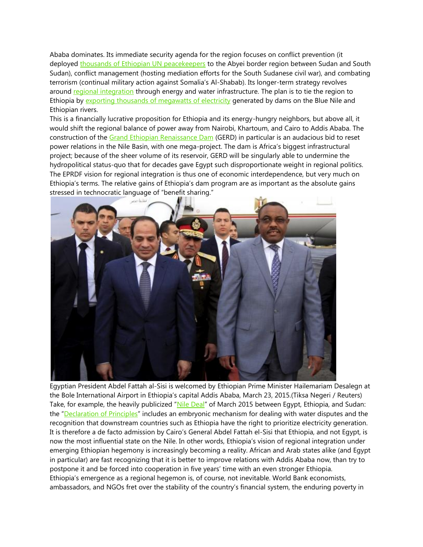Ababa dominates. Its immediate security agenda for the region focuses on conflict prevention (it deployed [thousands of Ethiopian UN peacekeepers](http://www.aljazeera.com/indepth/opinion/2012/08/2012821115259626668.html) to the Abyei border region between Sudan and South Sudan), conflict management (hosting mediation efforts for the South Sudanese civil war), and combating terrorism (continual military action against Somalia's Al-Shabab). Its longer-term strategy revolves around [regional integration](http://www.chathamhouse.org/sites/files/chathamhouse/19482_0611bp_verhoeven.pdf) through energy and water infrastructure. The plan is to tie the region to Ethiopia by [exporting thousands of megawatts of electricity](http://rsta.royalsocietypublishing.org/content/371/2002/20120411.short) generated by dams on the Blue Nile and Ethiopian rivers.

This is a financially lucrative proposition for Ethiopia and its energy-hungry neighbors, but above all, it would shift the regional balance of power away from Nairobi, Khartoum, and Cairo to Addis Ababa. The construction of the [Grand Ethiopian Renaissance Dam](http://grandmillenniumdam.net/) (GERD) in particular is an audacious bid to reset power relations in the Nile Basin, with one mega-project. The dam is Africa's biggest infrastructural project; because of the sheer volume of its reservoir, GERD will be singularly able to undermine the hydropolitical status-quo that for decades gave Egypt such disproportionate weight in regional politics. The EPRDF vision for regional integration is thus one of economic interdependence, but very much on Ethiopia's terms. The relative gains of Ethiopia's dam program are as important as the absolute gains stressed in technocratic language of "benefit sharing."



Egyptian President Abdel Fattah al-Sisi is welcomed by Ethiopian Prime Minister Hailemariam Desalegn at the Bole International Airport in Ethiopia's capital Addis Ababa, March 23, 2015.(Tiksa Negeri / Reuters) Take, for example, the heavily publicized "[Nile Deal](http://www.bbc.com/news/world-africa-32016763)" of March 2015 between Egypt, Ethiopia, and Sudan: the "[Declaration of Principles](http://english.ahram.org.eg/NewsContent/1/0/125941/Egypt/0/Full-text-of-Declaration-of-Principles-signed-by-E.aspx)" includes an embryonic mechanism for dealing with water disputes and the recognition that downstream countries such as Ethiopia have the right to prioritize electricity generation. It is therefore a de facto admission by Cairo's General Abdel Fattah el-Sisi that Ethiopia, and not Egypt, is now the most influential state on the Nile. In other words, Ethiopia's vision of regional integration under emerging Ethiopian hegemony is increasingly becoming a reality. African and Arab states alike (and Egypt in particular) are fast recognizing that it is better to improve relations with Addis Ababa now, than try to postpone it and be forced into cooperation in five years' time with an even stronger Ethiopia. Ethiopia's emergence as a regional hegemon is, of course, not inevitable. World Bank economists, ambassadors, and NGOs fret over the stability of the country's financial system, the enduring poverty in